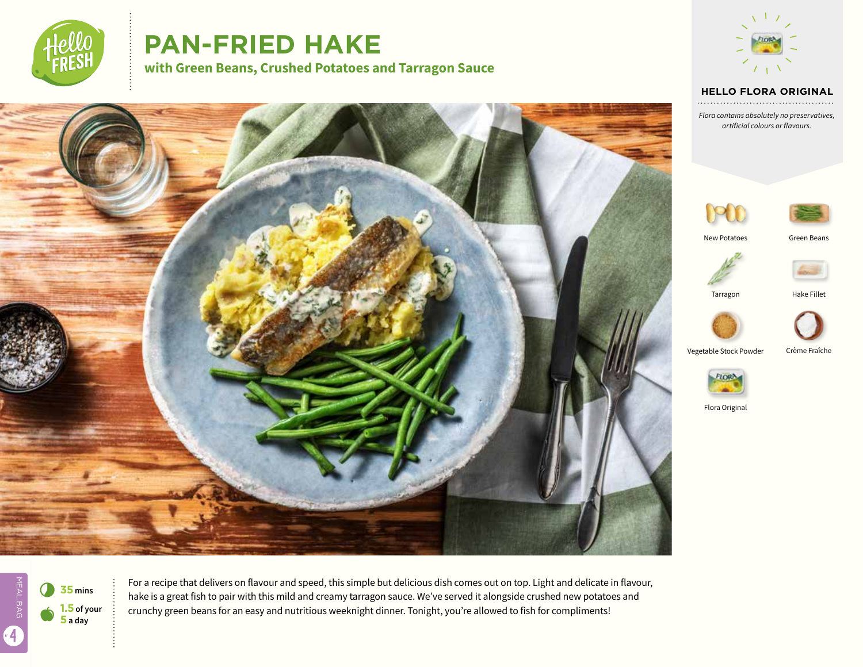

# **PAN-FRIED HAKE**

**with Green Beans, Crushed Potatoes and Tarragon Sauce**



#### **HELLO FLORA ORIGINAL**

*Flora contains absolutely no preservatives, artificial colours or flavours.*





 $\bullet$ 7 **<sup>35</sup> mins 1.5 of your 5 a day**

MEAL BAG

4

For a recipe that delivers on flavour and speed, this simple but delicious dish comes out on top. Light and delicate in flavour, hake is a great fish to pair with this mild and creamy tarragon sauce. We've served it alongside crushed new potatoes and crunchy green beans for an easy and nutritious weeknight dinner. Tonight, you're allowed to fish for compliments!